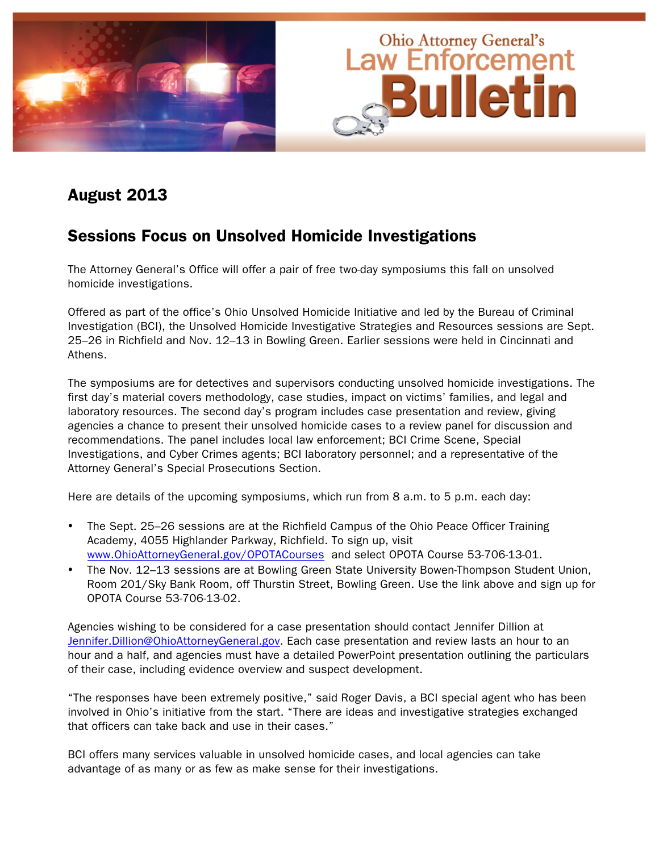

## August 2013

# Sessions Focus on Unsolved Homicide Investigations

The Attorney General's Office will offer a pair of free two-day symposiums this fall on unsolved homicide investigations.

Offered as part of the office's Ohio Unsolved Homicide Initiative and led by the Bureau of Criminal Investigation (BCI), the Unsolved Homicide Investigative Strategies and Resources sessions are Sept. 25–26 in Richfield and Nov. 12–13 in Bowling Green. Earlier sessions were held in Cincinnati and Athens.

The symposiums are for detectives and supervisors conducting unsolved homicide investigations. The first day's material covers methodology, case studies, impact on victims' families, and legal and laboratory resources. The second day's program includes case presentation and review, giving agencies a chance to present their unsolved homicide cases to a review panel for discussion and recommendations. The panel includes local law enforcement; BCI Crime Scene, Special Investigations, and Cyber Crimes agents; BCI laboratory personnel; and a representative of the Attorney General's Special Prosecutions Section.

Here are details of the upcoming symposiums, which run from 8 a.m. to 5 p.m. each day:

- The Sept. 25–26 sessions are at the Richfield Campus of the Ohio Peace Officer Training Academy, 4055 Highlander Parkway, Richfield. To sign up, visit www.OhioAttorneyGeneral.gov/OPOTACourses and select OPOTA Course 53-706-13-01.
- The Nov. 12–13 sessions are at Bowling Green State University Bowen-Thompson Student Union, Room 201/Sky Bank Room, off Thurstin Street, Bowling Green. Use the link above and sign up for OPOTA Course 53-706-13-02.

Agencies wishing to be considered for a case presentation should contact Jennifer Dillion at Jennifer.Dillion@OhioAttorneyGeneral.gov. Each case presentation and review lasts an hour to an hour and a half, and agencies must have a detailed PowerPoint presentation outlining the particulars of their case, including evidence overview and suspect development.

"The responses have been extremely positive," said Roger Davis, a BCI special agent who has been involved in Ohio's initiative from the start. "There are ideas and investigative strategies exchanged that officers can take back and use in their cases."

BCI offers many services valuable in unsolved homicide cases, and local agencies can take advantage of as many or as few as make sense for their investigations.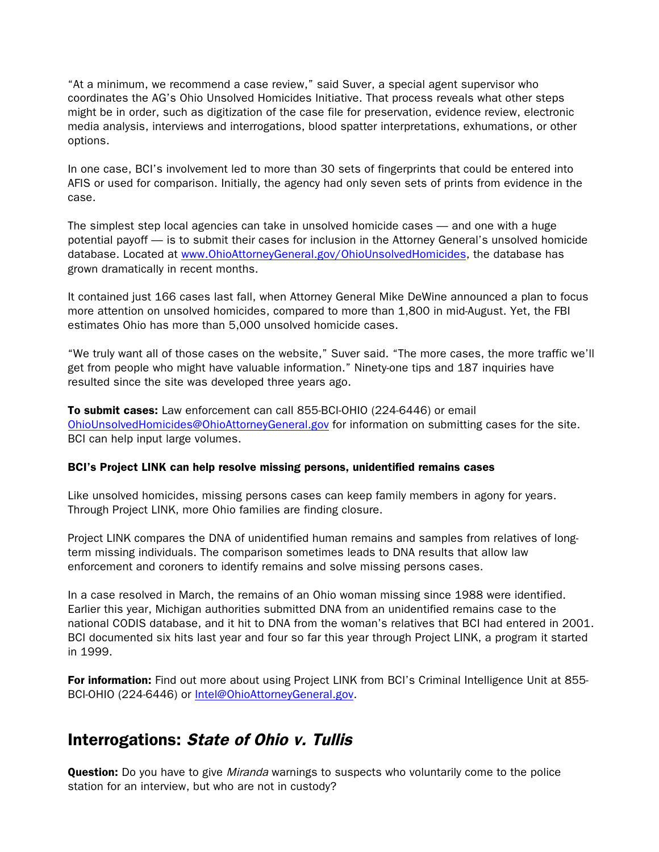"At a minimum, we recommend a case review," said Suver, a special agent supervisor who coordinates the AG's Ohio Unsolved Homicides Initiative. That process reveals what other steps might be in order, such as digitization of the case file for preservation, evidence review, electronic media analysis, interviews and interrogations, blood spatter interpretations, exhumations, or other options.

In one case, BCI's involvement led to more than 30 sets of fingerprints that could be entered into AFIS or used for comparison. Initially, the agency had only seven sets of prints from evidence in the case.

The simplest step local agencies can take in unsolved homicide cases — and one with a huge potential payoff — is to submit their cases for inclusion in the Attorney General's unsolved homicide database. Located at www.OhioAttorneyGeneral.gov/OhioUnsolvedHomicides, the database has grown dramatically in recent months.

It contained just 166 cases last fall, when Attorney General Mike DeWine announced a plan to focus more attention on unsolved homicides, compared to more than 1,800 in mid-August. Yet, the FBI estimates Ohio has more than 5,000 unsolved homicide cases.

"We truly want all of those cases on the website," Suver said. "The more cases, the more traffic we'll get from people who might have valuable information." Ninety-one tips and 187 inquiries have resulted since the site was developed three years ago.

To submit cases: Law enforcement can call 855-BCI-OHIO (224-6446) or email OhioUnsolvedHomicides@OhioAttorneyGeneral.gov for information on submitting cases for the site. BCI can help input large volumes.

### BCI's Project LINK can help resolve missing persons, unidentified remains cases

Like unsolved homicides, missing persons cases can keep family members in agony for years. Through Project LINK, more Ohio families are finding closure.

Project LINK compares the DNA of unidentified human remains and samples from relatives of longterm missing individuals. The comparison sometimes leads to DNA results that allow law enforcement and coroners to identify remains and solve missing persons cases.

In a case resolved in March, the remains of an Ohio woman missing since 1988 were identified. Earlier this year, Michigan authorities submitted DNA from an unidentified remains case to the national CODIS database, and it hit to DNA from the woman's relatives that BCI had entered in 2001. BCI documented six hits last year and four so far this year through Project LINK, a program it started in 1999.

For information: Find out more about using Project LINK from BCI's Criminal Intelligence Unit at 855-BCI-OHIO (224-6446) or Intel@OhioAttorneyGeneral.gov.

# Interrogations: State of Ohio v. Tullis

**Question:** Do you have to give *Miranda* warnings to suspects who voluntarily come to the police station for an interview, but who are not in custody?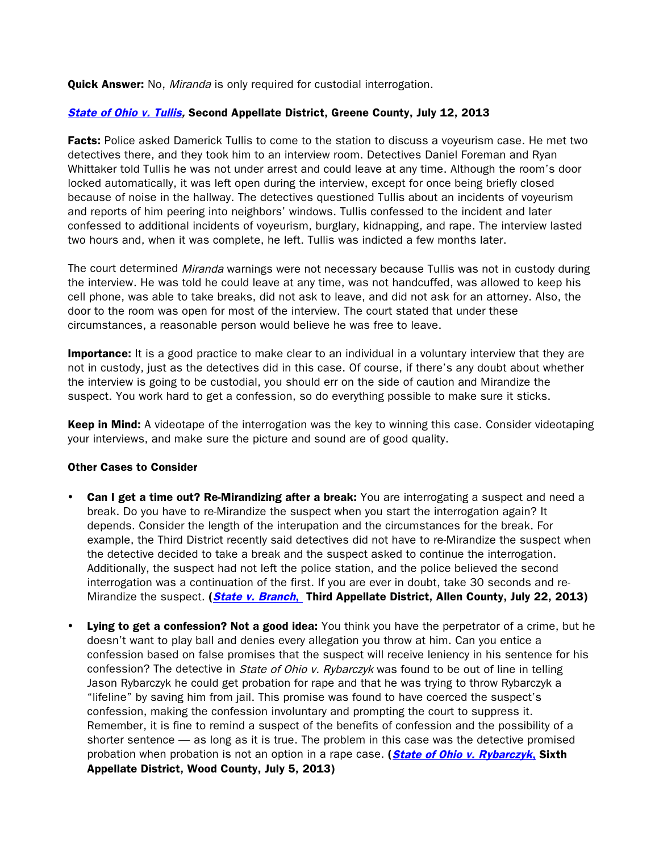**Quick Answer:** No, *Miranda* is only required for custodial interrogation.

### [State of Ohio v. Tullis,](http://www.sconet.state.oh.us/rod/docs/pdf/2/2013/2013-ohio-3051.pdf) Second Appellate District, Greene County, July 12, 2013

Facts: Police asked Damerick Tullis to come to the station to discuss a voyeurism case. He met two detectives there, and they took him to an interview room. Detectives Daniel Foreman and Ryan Whittaker told Tullis he was not under arrest and could leave at any time. Although the room's door locked automatically, it was left open during the interview, except for once being briefly closed because of noise in the hallway. The detectives questioned Tullis about an incidents of voyeurism and reports of him peering into neighbors' windows. Tullis confessed to the incident and later confessed to additional incidents of voyeurism, burglary, kidnapping, and rape. The interview lasted two hours and, when it was complete, he left. Tullis was indicted a few months later.

The court determined *Miranda* warnings were not necessary because Tullis was not in custody during the interview. He was told he could leave at any time, was not handcuffed, was allowed to keep his cell phone, was able to take breaks, did not ask to leave, and did not ask for an attorney. Also, the door to the room was open for most of the interview. The court stated that under these circumstances, a reasonable person would believe he was free to leave.

**Importance:** It is a good practice to make clear to an individual in a voluntary interview that they are not in custody, just as the detectives did in this case. Of course, if there's any doubt about whether the interview is going to be custodial, you should err on the side of caution and Mirandize the suspect. You work hard to get a confession, so do everything possible to make sure it sticks.

Keep in Mind: A videotape of the interrogation was the key to winning this case. Consider videotaping your interviews, and make sure the picture and sound are of good quality.

#### Other Cases to Consider

- Can I get a time out? Re-Mirandizing after a break: You are interrogating a suspect and need a break. Do you have to re-Mirandize the suspect when you start the interrogation again? It depends. Consider the length of the interupation and the circumstances for the break. For example, the Third District recently said detectives did not have to re-Mirandize the suspect when the detective decided to take a break and the suspect asked to continue the interrogation. Additionally, the suspect had not left the police station, and the police believed the second interrogation was a continuation of the first. If you are ever in doubt, take 30 seconds and re-Mirandize the suspect. (**[State v. Branch](http://www.sconet.state.oh.us/rod/docs/pdf/3/2013/2013-ohio-3192.pdf), Third Appellate District, Allen County, July 22, 2013)**
- Lying to get a confession? Not a good idea: You think you have the perpetrator of a crime, but he doesn't want to play ball and denies every allegation you throw at him. Can you entice a confession based on false promises that the suspect will receive leniency in his sentence for his confession? The detective in State of Ohio v. Rybarczyk was found to be out of line in telling Jason Rybarczyk he could get probation for rape and that he was trying to throw Rybarczyk a "lifeline" by saving him from jail. This promise was found to have coerced the suspect's confession, making the confession involuntary and prompting the court to suppress it. Remember, it is fine to remind a suspect of the benefits of confession and the possibility of a shorter sentence — as long as it is true. The problem in this case was the detective promised probation when probation is not an option in a rape case. (**[State of Ohio v. Rybarczyk](http://www.sconet.state.oh.us/rod/docs/pdf/6/2013/2013-ohio-2943.pdf), Sixth** Appellate District, Wood County, July 5, 2013)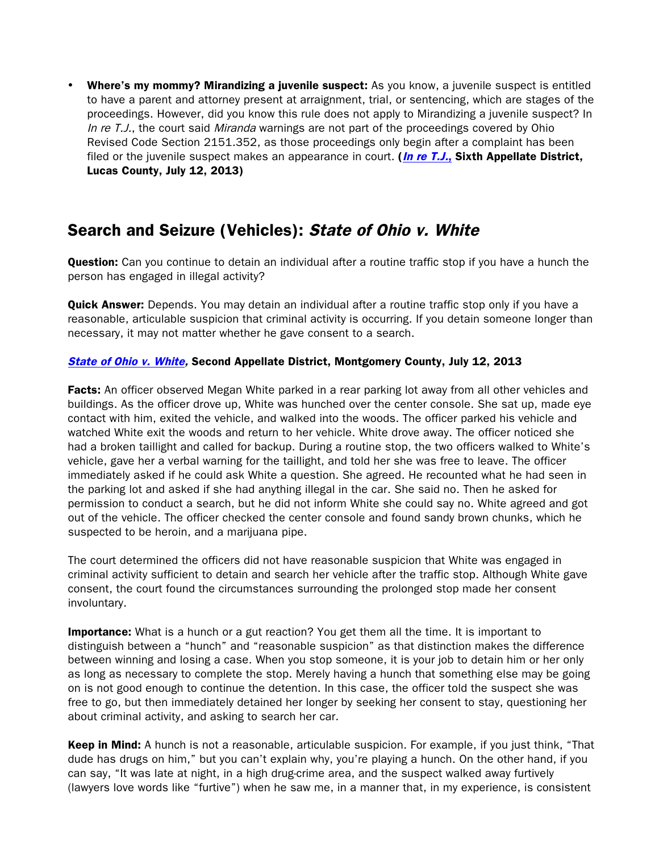**Where's my mommy? Mirandizing a juvenile suspect:** As you know, a juvenile suspect is entitled to have a parent and attorney present at arraignment, trial, or sentencing, which are stages of the proceedings. However, did you know this rule does not apply to Mirandizing a juvenile suspect? In In re T.J., the court said Miranda warnings are not part of the proceedings covered by Ohio Revised Code Section 2151.352, as those proceedings only begin after a complaint has been filed or the juvenile suspect makes an appearance in court. (*[In re T.J.](http://www.sconet.state.oh.us/rod/docs/pdf/6/2013/2013-ohio-3057.pdf)*, Sixth Appellate District, Lucas County, July 12, 2013)

### Search and Seizure (Vehicles): State of Ohio v. White

**Question:** Can you continue to detain an individual after a routine traffic stop if you have a hunch the person has engaged in illegal activity?

**Quick Answer:** Depends. You may detain an individual after a routine traffic stop only if you have a reasonable, articulable suspicion that criminal activity is occurring. If you detain someone longer than necessary, it may not matter whether he gave consent to a search.

### [State of Ohio v. White,](http://www.sconet.state.oh.us/rod/docs/pdf/2/2013/2013-ohio-3027.pdf) Second Appellate District, Montgomery County, July 12, 2013

Facts: An officer observed Megan White parked in a rear parking lot away from all other vehicles and buildings. As the officer drove up, White was hunched over the center console. She sat up, made eye contact with him, exited the vehicle, and walked into the woods. The officer parked his vehicle and watched White exit the woods and return to her vehicle. White drove away. The officer noticed she had a broken taillight and called for backup. During a routine stop, the two officers walked to White's vehicle, gave her a verbal warning for the taillight, and told her she was free to leave. The officer immediately asked if he could ask White a question. She agreed. He recounted what he had seen in the parking lot and asked if she had anything illegal in the car. She said no. Then he asked for permission to conduct a search, but he did not inform White she could say no. White agreed and got out of the vehicle. The officer checked the center console and found sandy brown chunks, which he suspected to be heroin, and a marijuana pipe.

The court determined the officers did not have reasonable suspicion that White was engaged in criminal activity sufficient to detain and search her vehicle after the traffic stop. Although White gave consent, the court found the circumstances surrounding the prolonged stop made her consent involuntary.

**Importance:** What is a hunch or a gut reaction? You get them all the time. It is important to distinguish between a "hunch" and "reasonable suspicion" as that distinction makes the difference between winning and losing a case. When you stop someone, it is your job to detain him or her only as long as necessary to complete the stop. Merely having a hunch that something else may be going on is not good enough to continue the detention. In this case, the officer told the suspect she was free to go, but then immediately detained her longer by seeking her consent to stay, questioning her about criminal activity, and asking to search her car.

Keep in Mind: A hunch is not a reasonable, articulable suspicion. For example, if you just think, "That dude has drugs on him," but you can't explain why, you're playing a hunch. On the other hand, if you can say, "It was late at night, in a high drug-crime area, and the suspect walked away furtively (lawyers love words like "furtive") when he saw me, in a manner that, in my experience, is consistent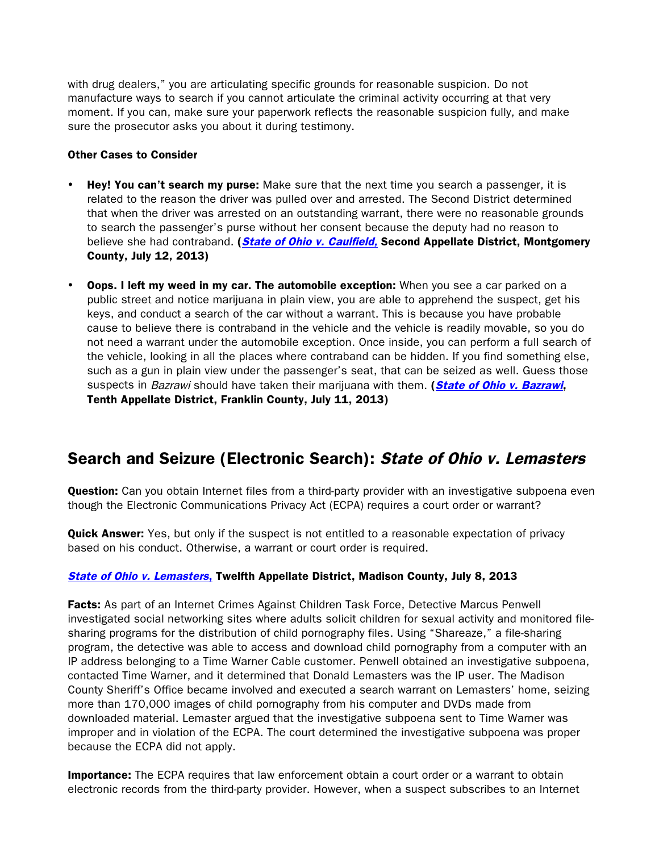with drug dealers," you are articulating specific grounds for reasonable suspicion. Do not manufacture ways to search if you cannot articulate the criminal activity occurring at that very moment. If you can, make sure your paperwork reflects the reasonable suspicion fully, and make sure the prosecutor asks you about it during testimony.

### Other Cases to Consider

- **Hey! You can't search my purse:** Make sure that the next time you search a passenger, it is related to the reason the driver was pulled over and arrested. The Second District determined that when the driver was arrested on an outstanding warrant, there were no reasonable grounds to search the passenger's purse without her consent because the deputy had no reason to believe she had contraband. (*State of Ohio v. Caulfield*, Second Appellate District, Montgomery County, July 12, 2013)
- Oops. I left my weed in my car. The automobile exception: When you see a car parked on a public street and notice marijuana in plain view, you are able to apprehend the suspect, get his keys, and conduct a search of the car without a warrant. This is because you have probable cause to believe there is contraband in the vehicle and the vehicle is readily movable, so you do not need a warrant under the automobile exception. Once inside, you can perform a full search of the vehicle, looking in all the places where contraband can be hidden. If you find something else, such as a gun in plain view under the passenger's seat, that can be seized as well. Guess those suspects in Bazrawi should have taken their marijuana with them. ([State of Ohio v. Bazrawi](http://www.sconet.state.oh.us/rod/docs/pdf/10/2013/2013-ohio-3015.pdf), Tenth Appellate District, Franklin County, July 11, 2013)

### Search and Seizure (Electronic Search): State of Ohio v. Lemasters

**Question:** Can you obtain Internet files from a third-party provider with an investigative subpoena even though the Electronic Communications Privacy Act (ECPA) requires a court order or warrant?

**Quick Answer:** Yes, but only if the suspect is not entitled to a reasonable expectation of privacy based on his conduct. Otherwise, a warrant or court order is required.

### [State of Ohio v. Lemasters](http://www.sconet.state.oh.us/rod/docs/pdf/12/2013/2013-ohio-2969.pdf), Twelfth Appellate District, Madison County, July 8, 2013

Facts: As part of an Internet Crimes Against Children Task Force, Detective Marcus Penwell investigated social networking sites where adults solicit children for sexual activity and monitored filesharing programs for the distribution of child pornography files. Using "Shareaze," a file-sharing program, the detective was able to access and download child pornography from a computer with an IP address belonging to a Time Warner Cable customer. Penwell obtained an investigative subpoena, contacted Time Warner, and it determined that Donald Lemasters was the IP user. The Madison County Sheriff's Office became involved and executed a search warrant on Lemasters' home, seizing more than 170,000 images of child pornography from his computer and DVDs made from downloaded material. Lemaster argued that the investigative subpoena sent to Time Warner was improper and in violation of the ECPA. The court determined the investigative subpoena was proper because the ECPA did not apply.

**Importance:** The ECPA requires that law enforcement obtain a court order or a warrant to obtain electronic records from the third-party provider. However, when a suspect subscribes to an Internet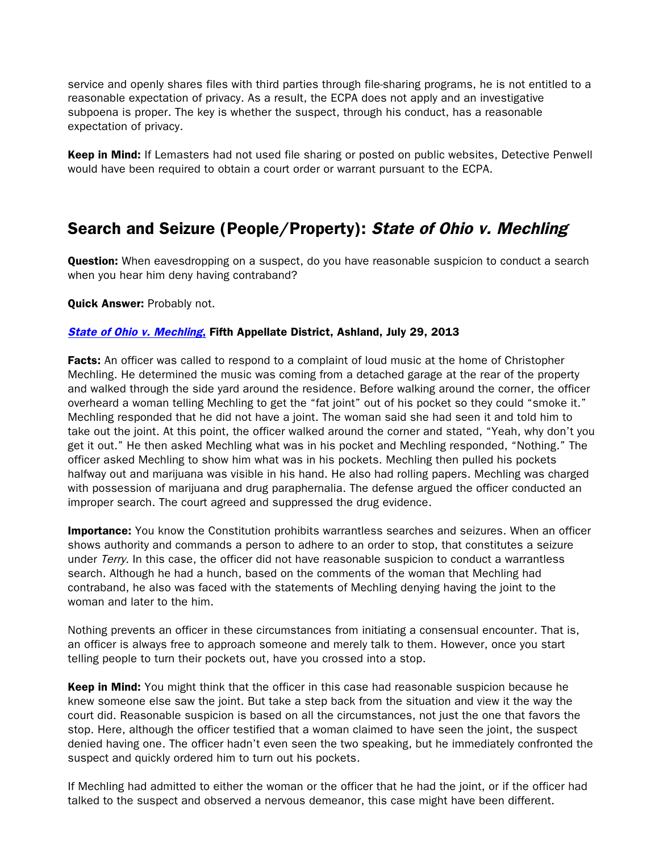service and openly shares files with third parties through file-sharing programs, he is not entitled to a reasonable expectation of privacy. As a result, the ECPA does not apply and an investigative subpoena is proper. The key is whether the suspect, through his conduct, has a reasonable expectation of privacy.

Keep in Mind: If Lemasters had not used file sharing or posted on public websites, Detective Penwell would have been required to obtain a court order or warrant pursuant to the ECPA.

## Search and Seizure (People/Property): State of Ohio v. Mechling

**Question:** When eavesdropping on a suspect, do you have reasonable suspicion to conduct a search when you hear him deny having contraband?

**Quick Answer: Probably not.** 

### [State of Ohio v. Mechling](http://www.sconet.state.oh.us/rod/docs/pdf/5/2013/2013-ohio-3327.pdf), Fifth Appellate District, Ashland, July 29, 2013

**Facts:** An officer was called to respond to a complaint of loud music at the home of Christopher Mechling. He determined the music was coming from a detached garage at the rear of the property and walked through the side yard around the residence. Before walking around the corner, the officer overheard a woman telling Mechling to get the "fat joint" out of his pocket so they could "smoke it." Mechling responded that he did not have a joint. The woman said she had seen it and told him to take out the joint. At this point, the officer walked around the corner and stated, "Yeah, why don't you get it out." He then asked Mechling what was in his pocket and Mechling responded, "Nothing." The officer asked Mechling to show him what was in his pockets. Mechling then pulled his pockets halfway out and marijuana was visible in his hand. He also had rolling papers. Mechling was charged with possession of marijuana and drug paraphernalia. The defense argued the officer conducted an improper search. The court agreed and suppressed the drug evidence.

**Importance:** You know the Constitution prohibits warrantless searches and seizures. When an officer shows authority and commands a person to adhere to an order to stop, that constitutes a seizure under Terry. In this case, the officer did not have reasonable suspicion to conduct a warrantless search. Although he had a hunch, based on the comments of the woman that Mechling had contraband, he also was faced with the statements of Mechling denying having the joint to the woman and later to the him.

Nothing prevents an officer in these circumstances from initiating a consensual encounter. That is, an officer is always free to approach someone and merely talk to them. However, once you start telling people to turn their pockets out, have you crossed into a stop.

Keep in Mind: You might think that the officer in this case had reasonable suspicion because he knew someone else saw the joint. But take a step back from the situation and view it the way the court did. Reasonable suspicion is based on all the circumstances, not just the one that favors the stop. Here, although the officer testified that a woman claimed to have seen the joint, the suspect denied having one. The officer hadn't even seen the two speaking, but he immediately confronted the suspect and quickly ordered him to turn out his pockets.

If Mechling had admitted to either the woman or the officer that he had the joint, or if the officer had talked to the suspect and observed a nervous demeanor, this case might have been different.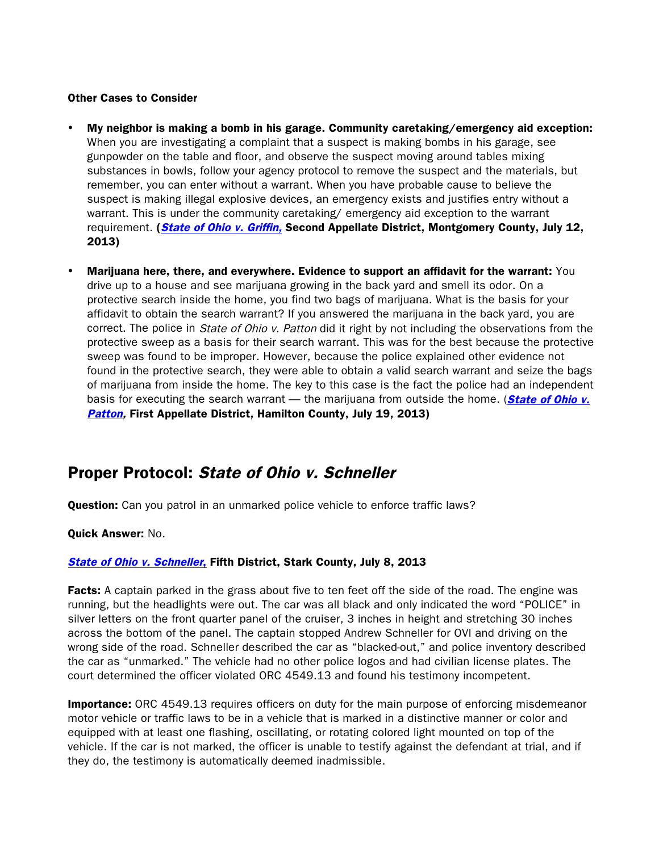### Other Cases to Consider

- My neighbor is making a bomb in his garage. Community caretaking/emergency aid exception: When you are investigating a complaint that a suspect is making bombs in his garage, see gunpowder on the table and floor, and observe the suspect moving around tables mixing substances in bowls, follow your agency protocol to remove the suspect and the materials, but remember, you can enter without a warrant. When you have probable cause to believe the suspect is making illegal explosive devices, an emergency exists and justifies entry without a warrant. This is under the community caretaking/ emergency aid exception to the warrant requirement. (*State of Ohio v. Griffin*, Second Appellate District, Montgomery County, July 12, 2013)
- Marijuana here, there, and everywhere. Evidence to support an affidavit for the warrant: You drive up to a house and see marijuana growing in the back yard and smell its odor. On a protective search inside the home, you find two bags of marijuana. What is the basis for your affidavit to obtain the search warrant? If you answered the marijuana in the back yard, you are correct. The police in *State of Ohio v. Patton* did it right by not including the observations from the protective sweep as a basis for their search warrant. This was for the best because the protective sweep was found to be improper. However, because the police explained other evidence not found in the protective search, they were able to obtain a valid search warrant and seize the bags of marijuana from inside the home. The key to this case is the fact the police had an independent basis for executing the search warrant — the marijuana from outside the home. (**[State of Ohio v.](http://www.sconet.state.oh.us/rod/docs/pdf/1/2013/2013-ohio-3158.pdf)** [Patton,](http://www.sconet.state.oh.us/rod/docs/pdf/1/2013/2013-ohio-3158.pdf) First Appellate District, Hamilton County, July 19, 2013)

### Proper Protocol: State of Ohio v. Schneller

**Question:** Can you patrol in an unmarked police vehicle to enforce traffic laws?

### Quick Answer: No.

### [State of Ohio v. Schneller](http://www.sconet.state.oh.us/rod/docs/pdf/5/2013/2013-ohio-2976.pdf), Fifth District, Stark County, July 8, 2013

**Facts:** A captain parked in the grass about five to ten feet off the side of the road. The engine was running, but the headlights were out. The car was all black and only indicated the word "POLICE" in silver letters on the front quarter panel of the cruiser, 3 inches in height and stretching 30 inches across the bottom of the panel. The captain stopped Andrew Schneller for OVI and driving on the wrong side of the road. Schneller described the car as "blacked-out," and police inventory described the car as "unmarked." The vehicle had no other police logos and had civilian license plates. The court determined the officer violated ORC 4549.13 and found his testimony incompetent.

**Importance:** ORC 4549.13 requires officers on duty for the main purpose of enforcing misdemeanor motor vehicle or traffic laws to be in a vehicle that is marked in a distinctive manner or color and equipped with at least one flashing, oscillating, or rotating colored light mounted on top of the vehicle. If the car is not marked, the officer is unable to testify against the defendant at trial, and if they do, the testimony is automatically deemed inadmissible.